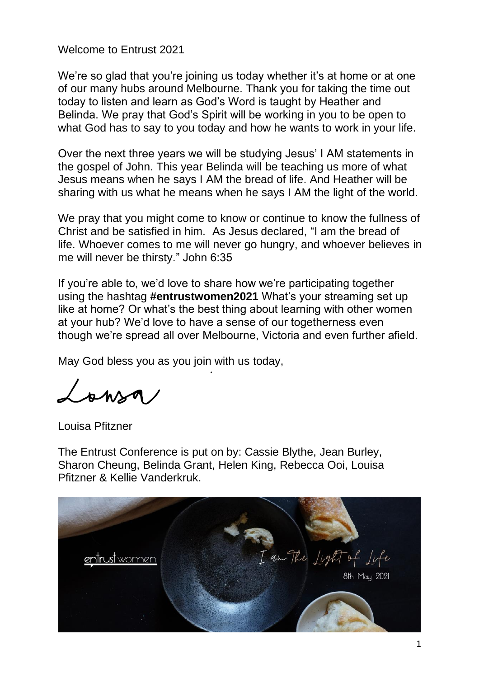Welcome to Entrust 2021

We're so glad that you're joining us today whether it's at home or at one of our many hubs around Melbourne. Thank you for taking the time out today to listen and learn as God's Word is taught by Heather and Belinda. We pray that God's Spirit will be working in you to be open to what God has to say to you today and how he wants to work in your life.

Over the next three years we will be studying Jesus' I AM statements in the gospel of John. This year Belinda will be teaching us more of what Jesus means when he says I AM the bread of life. And Heather will be sharing with us what he means when he says I AM the light of the world.

We pray that you might come to know or continue to know the fullness of Christ and be satisfied in him. As Jesus declared, "I am the bread of life. Whoever comes to me will never go hungry, and whoever believes in me will never be thirsty." John 6:35

If you're able to, we'd love to share how we're participating together using the hashtag **#entrustwomen2021** What's your streaming set up like at home? Or what's the best thing about learning with other women at your hub? We'd love to have a sense of our togetherness even though we're spread all over Melbourne, Victoria and even further afield.

May God bless you as you join with us today,

 $L_{\rm ann}$ 

Louisa Pfitzner

The Entrust Conference is put on by: Cassie Blythe, Jean Burley, Sharon Cheung, Belinda Grant, Helen King, Rebecca Ooi, Louisa Pfitzner & Kellie Vanderkruk.

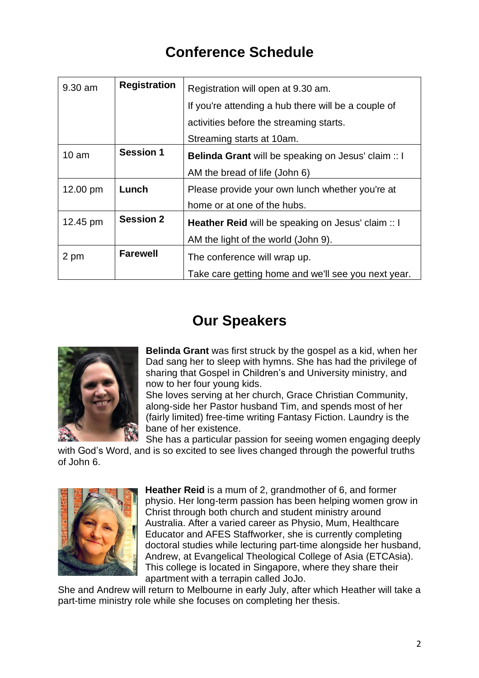# **Conference Schedule**

| $9.30$ am        | <b>Registration</b> | Registration will open at 9.30 am.                        |
|------------------|---------------------|-----------------------------------------------------------|
|                  |                     | If you're attending a hub there will be a couple of       |
|                  |                     | activities before the streaming starts.                   |
|                  |                     | Streaming starts at 10am.                                 |
| 10 <sub>am</sub> | <b>Session 1</b>    | Belinda Grant will be speaking on Jesus' claim :: I       |
|                  |                     | AM the bread of life (John 6)                             |
| 12.00 pm         | Lunch               | Please provide your own lunch whether you're at           |
|                  |                     | home or at one of the hubs.                               |
| 12.45 pm         | <b>Session 2</b>    | <b>Heather Reid</b> will be speaking on Jesus' claim :: I |
|                  |                     | AM the light of the world (John 9).                       |
| 2 pm             | <b>Farewell</b>     | The conference will wrap up.                              |
|                  |                     | Take care getting home and we'll see you next year.       |

## **Our Speakers**



**Belinda Grant** was first struck by the gospel as a kid, when her Dad sang her to sleep with hymns. She has had the privilege of sharing that Gospel in Children's and University ministry, and now to her four young kids.

She loves serving at her church, Grace Christian Community, along-side her Pastor husband Tim, and spends most of her (fairly limited) free-time writing Fantasy Fiction. Laundry is the bane of her existence.

She has a particular passion for seeing women engaging deeply with God's Word, and is so excited to see lives changed through the powerful truths of John 6.



**Heather Reid** is a mum of 2, grandmother of 6, and former physio. Her long-term passion has been helping women grow in Christ through both church and student ministry around Australia. After a varied career as Physio, Mum, Healthcare Educator and AFES Staffworker, she is currently completing doctoral studies while lecturing part-time alongside her husband, Andrew, at Evangelical Theological College of Asia (ETCAsia). This college is located in Singapore, where they share their apartment with a terrapin called JoJo.

She and Andrew will return to Melbourne in early July, after which Heather will take a part-time ministry role while she focuses on completing her thesis.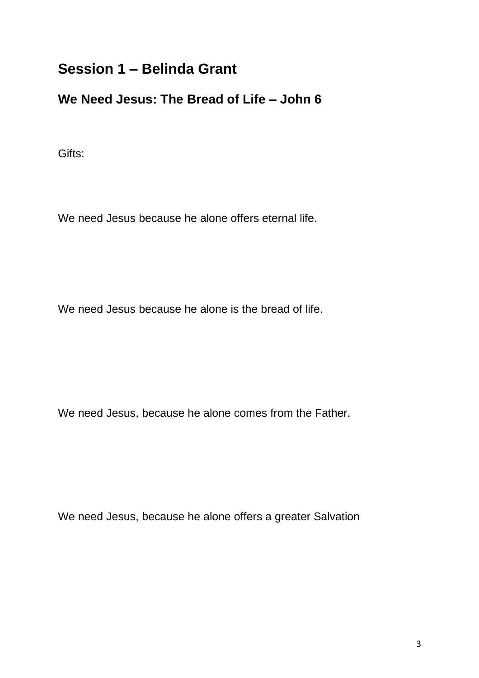# **Session 1 – Belinda Grant**

### **We Need Jesus: The Bread of Life – John 6**

Gifts:

We need Jesus because he alone offers eternal life.

We need Jesus because he alone is the bread of life.

We need Jesus, because he alone comes from the Father.

We need Jesus, because he alone offers a greater Salvation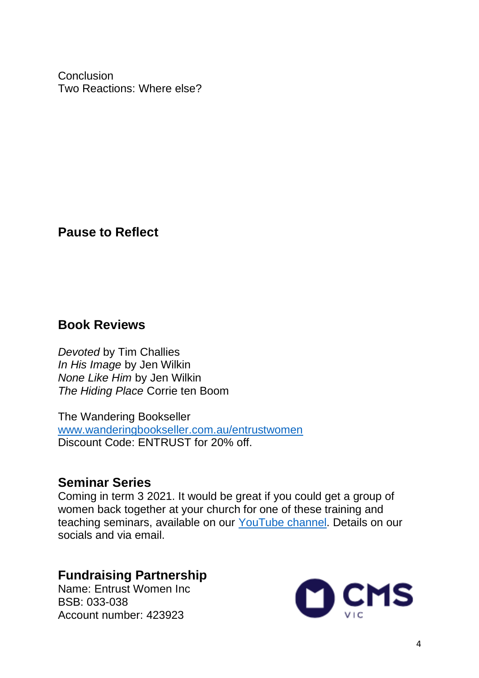**Conclusion** Two Reactions: Where else?

**Pause to Reflect**

## **Book Reviews**

*Devoted* by Tim Challies *In His Image* by Jen Wilkin *None Like Him* by Jen Wilkin *The Hiding Place* Corrie ten Boom

The Wandering Bookseller [www.wanderingbookseller.com.au/entrustwomen](http://www.wanderingbookseller.com.au/entrustwomen)  Discount Code: ENTRUST for 20% off.

## **Seminar Series**

Coming in term 3 2021. It would be great if you could get a group of women back together at your church for one of these training and teaching seminars, available on our [YouTube channel.](https://www.youtube.com/channel/UCmhe1vlM39QoNPXRdPTajhA) Details on our socials and via email.

# **Fundraising Partnership**

Name: Entrust Women Inc BSB: 033-038 Account number: 423923

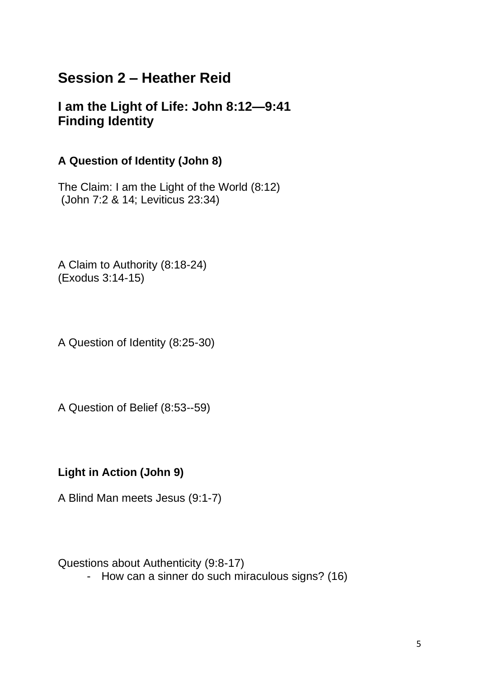# **Session 2 – Heather Reid**

### **I am the Light of Life: John 8:12—9:41 Finding Identity**

#### **A Question of Identity (John 8)**

The Claim: I am the Light of the World (8:12) (John 7:2 & 14; Leviticus 23:34)

A Claim to Authority (8:18-24) (Exodus 3:14-15)

A Question of Identity (8:25-30)

A Question of Belief (8:53--59)

#### **Light in Action (John 9)**

A Blind Man meets Jesus (9:1-7)

Questions about Authenticity (9:8-17)

- How can a sinner do such miraculous signs? (16)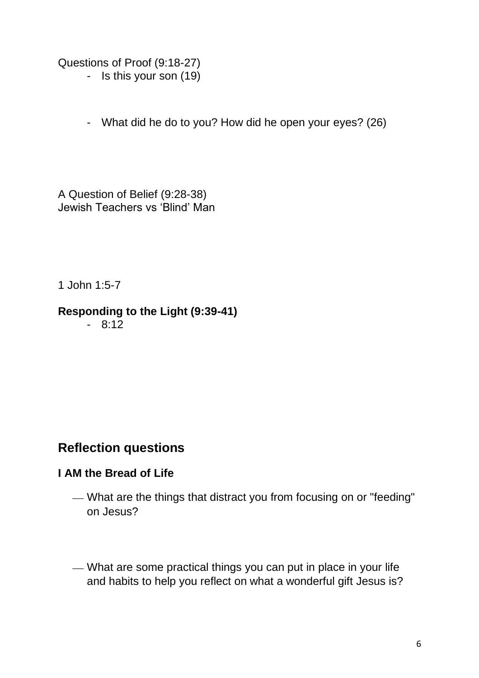Questions of Proof (9:18-27) - Is this your son (19)

- What did he do to you? How did he open your eyes? (26)

A Question of Belief (9:28-38) Jewish Teachers vs 'Blind' Man

1 John 1:5-7

### **Responding to the Light (9:39-41)**

- 8:12

# **Reflection questions**

### **I AM the Bread of Life**

- What are the things that distract you from focusing on or "feeding" on Jesus?
- What are some practical things you can put in place in your life and habits to help you reflect on what a wonderful gift Jesus is?